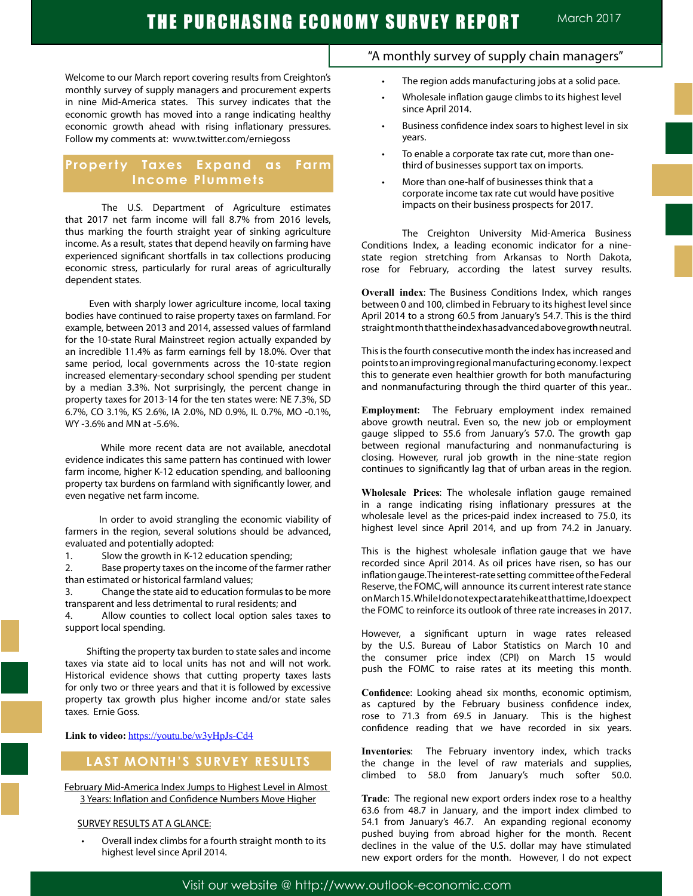Welcome to our March report covering results from Creighton's monthly survey of supply managers and procurement experts in nine Mid-America states. This survey indicates that the economic growth has moved into a range indicating healthy economic growth ahead with rising inflationary pressures. Follow my comments at: www.twitter.com/erniegoss

## **Property Taxes Expand as Farm Income Plummets**

The U.S. Department of Agriculture estimates that 2017 net farm income will fall 8.7% from 2016 levels, thus marking the fourth straight year of sinking agriculture income. As a result, states that depend heavily on farming have experienced significant shortfalls in tax collections producing economic stress, particularly for rural areas of agriculturally dependent states.

 Even with sharply lower agriculture income, local taxing bodies have continued to raise property taxes on farmland. For example, between 2013 and 2014, assessed values of farmland for the 10-state Rural Mainstreet region actually expanded by an incredible 11.4% as farm earnings fell by 18.0%. Over that same period, local governments across the 10-state region increased elementary-secondary school spending per student by a median 3.3%. Not surprisingly, the percent change in property taxes for 2013-14 for the ten states were: NE 7.3%, SD 6.7%, CO 3.1%, KS 2.6%, IA 2.0%, ND 0.9%, IL 0.7%, MO -0.1%, WY -3.6% and MN at -5.6%.

 While more recent data are not available, anecdotal evidence indicates this same pattern has continued with lower farm income, higher K-12 education spending, and ballooning property tax burdens on farmland with significantly lower, and even negative net farm income.

 In order to avoid strangling the economic viability of farmers in the region, several solutions should be advanced, evaluated and potentially adopted:

1. Slow the growth in K-12 education spending;

2. Base property taxes on the income of the farmer rather than estimated or historical farmland values;

3. Change the state aid to education formulas to be more transparent and less detrimental to rural residents; and

4. Allow counties to collect local option sales taxes to support local spending.

 Shifting the property tax burden to state sales and income taxes via state aid to local units has not and will not work. Historical evidence shows that cutting property taxes lasts for only two or three years and that it is followed by excessive property tax growth plus higher income and/or state sales taxes. Ernie Goss.

**Link to video:** https://youtu.be/w3yHpJs-Cd4

## **LAST MONTH'S SURVEY RESULTS**

February Mid-America Index Jumps to Highest Level in Almost 3 Years: Inflation and Confidence Numbers Move Higher

#### SURVEY RESULTS AT A GLANCE:

Overall index climbs for a fourth straight month to its highest level since April 2014.

## "A monthly survey of supply chain managers"

- The region adds manufacturing jobs at a solid pace.
- Wholesale inflation gauge climbs to its highest level since April 2014.
- Business confidence index soars to highest level in six years.
- To enable a corporate tax rate cut, more than onethird of businesses support tax on imports.
- More than one-half of businesses think that a corporate income tax rate cut would have positive impacts on their business prospects for 2017.

The Creighton University Mid-America Business Conditions Index, a leading economic indicator for a ninestate region stretching from Arkansas to North Dakota, rose for February, according the latest survey results.

**Overall index**: The Business Conditions Index, which ranges between 0 and 100, climbed in February to its highest level since April 2014 to a strong 60.5 from January's 54.7. This is the third straight month that the index has advanced above growth neutral.

This is the fourth consecutive month the index has increased and points to an improving regional manufacturing economy. I expect this to generate even healthier growth for both manufacturing and nonmanufacturing through the third quarter of this year..

**Employment**: The February employment index remained above growth neutral. Even so, the new job or employment gauge slipped to 55.6 from January's 57.0. The growth gap between regional manufacturing and nonmanufacturing is closing. However, rural job growth in the nine-state region continues to significantly lag that of urban areas in the region.

**Wholesale Prices**: The wholesale inflation gauge remained in a range indicating rising inflationary pressures at the wholesale level as the prices-paid index increased to 75.0, its highest level since April 2014, and up from 74.2 in January.

This is the highest wholesale inflation gauge that we have recorded since April 2014. As oil prices have risen, so has our inflation gauge. The interest-rate setting committee of the Federal Reserve, the FOMC, will announce its current interest rate stance on March 15. While I do not expect a rate hike at that time, I do expect the FOMC to reinforce its outlook of three rate increases in 2017.

However, a significant upturn in wage rates released by the U.S. Bureau of Labor Statistics on March 10 and the consumer price index (CPI) on March 15 would push the FOMC to raise rates at its meeting this month.

**Confidence**: Looking ahead six months, economic optimism, as captured by the February business confidence index, rose to 71.3 from 69.5 in January. This is the highest confidence reading that we have recorded in six years.

**Inventories**: The February inventory index, which tracks the change in the level of raw materials and supplies, climbed to 58.0 from January's much softer 50.0.

**Trade**: The regional new export orders index rose to a healthy 63.6 from 48.7 in January, and the import index climbed to 54.1 from January's 46.7. An expanding regional economy pushed buying from abroad higher for the month. Recent declines in the value of the U.S. dollar may have stimulated new export orders for the month. However, I do not expect

Visit our website @ http://www.outlook-economic.com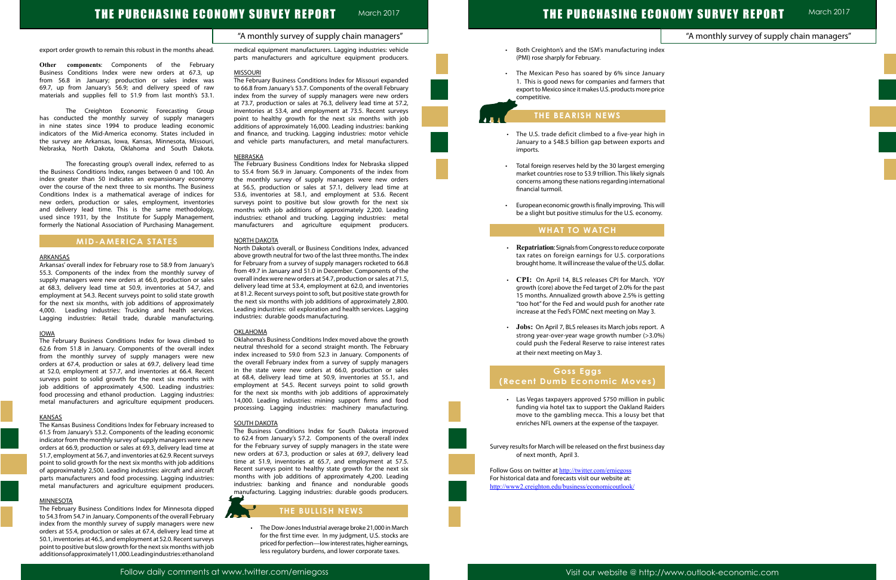## THE PURCHASING ECONOMY SURVEY REPORT March 2017

# THE PURCHASING ECONOMY SURVEY REPORT

### "A monthly survey of supply chain managers"

March 2017

|                | "A monthly survey of supply chain managers" |  |
|----------------|---------------------------------------------|--|
| lex            |                                             |  |
| ary            |                                             |  |
| hat            |                                             |  |
| ice            |                                             |  |
|                |                                             |  |
| in             |                                             |  |
| nd             |                                             |  |
| ing            |                                             |  |
| als            |                                             |  |
| nal            |                                             |  |
| vill           |                                             |  |
| ۱y.            |                                             |  |
|                |                                             |  |
| ate            |                                             |  |
| ns<br>lar.     |                                             |  |
| ОY             |                                             |  |
| ast            |                                             |  |
| ng             |                                             |  |
| ate            |                                             |  |
| . A            |                                             |  |
| %)<br>tes      |                                             |  |
|                |                                             |  |
|                |                                             |  |
|                |                                             |  |
| blic           |                                             |  |
| ers<br>าat     |                                             |  |
| $\ddot{\cdot}$ |                                             |  |
|                |                                             |  |
| day            |                                             |  |
|                |                                             |  |
|                |                                             |  |
|                |                                             |  |

export order growth to remain this robust in the months ahead.

**Other components**: Components of the February Business Conditions Index were new orders at 67.3, up from 56.8 in January; production or sales index was 69.7, up from January's 56.9; and delivery speed of raw materials and supplies fell to 51.9 from last month's 53.1.

The Creighton Economic Forecasting Group has conducted the monthly survey of supply managers in nine states since 1994 to produce leading economic indicators of the Mid-America economy. States included in the survey are Arkansas, Iowa, Kansas, Minnesota, Missouri, Nebraska, North Dakota, Oklahoma and South Dakota.

The forecasting group's overall index, referred to as the Business Conditions Index, ranges between 0 and 100. An index greater than 50 indicates an expansionary economy over the course of the next three to six months. The Business Conditions Index is a mathematical average of indices for new orders, production or sales, employment, inventories and delivery lead time. This is the same methodology, used since 1931, by the Institute for Supply Management, formerly the National Association of Purchasing Management.

## **MID-AMERICA STATES**

#### ARKANSAS

The February Business Conditions Index for Minnesota dipped to 54.3 from 54.7 in January. Components of the overall February index from the monthly survey of supply managers were new orders at 55.4, production or sales at 67.4, delivery lead time at 50.1, inventories at 46.5, and employment at 52.0. Recent surveys point to positive but slow growth for the next six months with job additions of approximately 11,000. Leading industries: ethanol and

Arkansas' overall index for February rose to 58.9 from January's 55.3. Components of the index from the monthly survey of supply managers were new orders at 66.0, production or sales at 68.3, delivery lead time at 50.9, inventories at 54.7, and employment at 54.3. Recent surveys point to solid state growth for the next six months, with job additions of approximately 4,000. Leading industries: Trucking and health services. Lagging industries: Retail trade, durable manufacturing.

#### IOWA

The February Business Conditions Index for Iowa climbed to 62.6 from 51.8 in January. Components of the overall index from the monthly survey of supply managers were new orders at 67.4, production or sales at 69.7, delivery lead time at 52.0, employment at 57.7, and inventories at 66.4. Recent surveys point to solid growth for the next six months with job additions of approximately 4,500. Leading industries: food processing and ethanol production. Lagging industries: metal manufacturers and agriculture equipment producers.

#### KANSAS

The Kansas Business Conditions Index for February increased to 61.5 from January's 53.2. Components of the leading economic indicator from the monthly survey of supply managers were new orders at 66.9, production or sales at 69.3, delivery lead time at 51.7, employment at 56.7, and inventories at 62.9. Recent surveys point to solid growth for the next six months with job additions of approximately 2,500. Leading industries: aircraft and aircraft parts manufacturers and food processing. Lagging industries: metal manufacturers and agriculture equipment producers.

#### **MINNESOTA**

• The Dow-Jones Industrial average broke 21,000 in March for the first time ever. In my judgment, U.S. stocks are priced for perfection—low interest rates, higher earnings, less regulatory burdens, and lower corporate taxes.

- Both Creighton's and the ISM's manufacturing ind (PMI) rose sharply for February.
- The Mexican Peso has soared by 6% since Janua 1. This is good news for companies and farmers that export to Mexico since it makes U.S. products more pri competitive.

medical equipment manufacturers. Lagging industries: vehicle parts manufacturers and agriculture equipment producers.

#### MISSOURI

The February Business Conditions Index for Missouri expanded to 66.8 from January's 53.7. Components of the overall February index from the survey of supply managers were new orders at 73.7, production or sales at 76.3, delivery lead time at 57.2, inventories at 53.4, and employment at 73.5. Recent surveys point to healthy growth for the next six months with job additions of approximately 16,000. Leading industries: banking and finance, and trucking. Lagging industries: motor vehicle and vehicle parts manufacturers, and metal manufacturers.

- **Repatriation**: Signals from Congress to reduce corporation tax rates on foreign earnings for U.S. corporatio brought home. It will increase the value of the U.S. doll
- CPI: On April 14, BLS releases CPI for March. YO growth (core) above the Fed target of 2.0% for the pay 15 months. Annualized growth above 2.5% is getting "too hot" for the Fed and would push for another rate increase at the Fed's FOMC next meeting on May 3.
- **·** Jobs: On April 7, BLS releases its March jobs report. strong year-over-year wage growth number  $(>3.0)$ could push the Federal Reserve to raise interest rat at their next meeting on May 3.

• Las Vegas taxpayers approved \$750 million in pub funding via hotel tax to support the Oakland Raide move to the gambling mecca. This a lousy bet that enriches NFL owners at the expense of the taxpayer.

#### NEBRASKA

Survey results for March will be released on the first business d of next month, April 3.

Follow Goss on twitter at http://twitter.com/erniegoss For historical data and forecasts visit our website at: http://www2.creighton.edu/business/economicoutlook/

The February Business Conditions Index for Nebraska slipped to 55.4 from 56.9 in January. Components of the index from the monthly survey of supply managers were new orders at 56.5, production or sales at 57.1, delivery lead time at 53.6, inventories at 58.1, and employment at 53.6. Recent surveys point to positive but slow growth for the next six months with job additions of approximately 2,200. Leading industries: ethanol and trucking. Lagging industries: metal manufacturers and agriculture equipment producers.

#### NORTH DAKOTA

North Dakota's overall, or Business Conditions Index, advanced above growth neutral for two of the last three months. The index for February from a survey of supply managers rocketed to 66.8 from 49.7 in January and 51.0 in December. Components of the overall index were new orders at 54.7, production or sales at 71.5, delivery lead time at 53.4, employment at 62.0, and inventories at 81.2. Recent surveys point to soft, but positive state growth for the next six months with job additions of approximately 2,800. Leading industries: oil exploration and health services. Lagging industries: durable goods manufacturing.

#### **OKLAHOMA**

Oklahoma's Business Conditions Index moved above the growth neutral threshold for a second straight month. The February index increased to 59.0 from 52.3 in January. Components of the overall February index from a survey of supply managers in the state were new orders at 66.0, production or sales at 68.4, delivery lead time at 50.9, inventories at 55.1, and employment at 54.5. Recent surveys point to solid growth for the next six months with job additions of approximately 14,000. Leading industries: mining support firms and food processing. Lagging industries: machinery manufacturing.

#### SOUTH DAKOTA

The Business Conditions Index for South Dakota improved to 62.4 from January's 57.2. Components of the overall index for the February survey of supply managers in the state were new orders at 67.3, production or sales at 69.7, delivery lead time at 51.9, inventories at 65.7, and employment at 57.5. Recent surveys point to healthy state growth for the next six months with job additions of approximately 4,200. Leading industries: banking and finance and nondurable goods manufacturing. Lagging industries: durable goods producers.



## **THE BULLISH NEWS**

## **THE BEARISH NEWS**

- The U.S. trade deficit climbed to a five-year high January to a \$48.5 billion gap between exports and imports.
- Total foreign reserves held by the 30 largest emergi market countries rose to \$3.9 trillion. This likely signa concerns among these nations regarding internation financial turmoil.
- European economic growth is finally improving. This v be a slight but positive stimulus for the U.S. econom

### **WHAT TO WATCH**

L

Ĩ

## **Goss Eggs (Recent Dumb Economic Moves)**